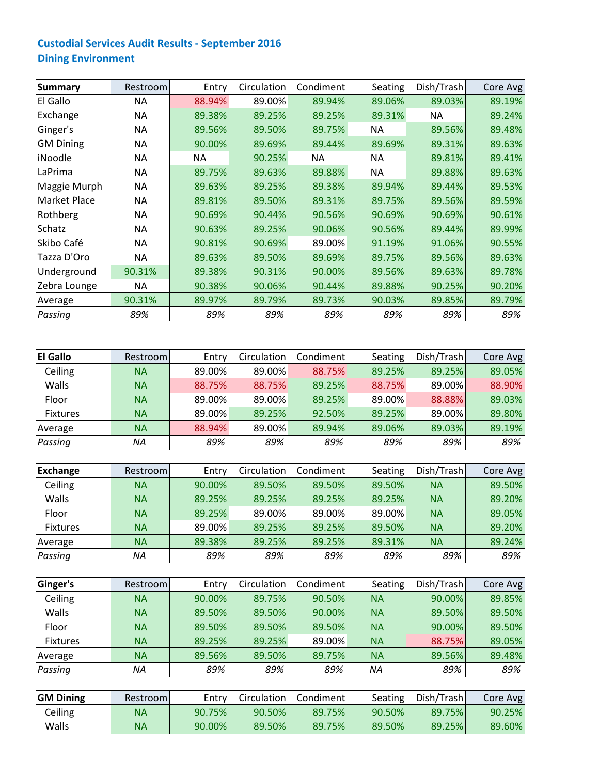## **Custodial Services Audit Results ‐ September 2016 Dining Environment**

| <b>Summary</b>   | Restroom  | Entry     | Circulation | Condiment | Seating   | Dish/Trash | Core Avg |
|------------------|-----------|-----------|-------------|-----------|-----------|------------|----------|
| El Gallo         | ΝA        | 88.94%    | 89.00%      | 89.94%    | 89.06%    | 89.03%     | 89.19%   |
| Exchange         | <b>NA</b> | 89.38%    | 89.25%      | 89.25%    | 89.31%    | <b>NA</b>  | 89.24%   |
| Ginger's         | <b>NA</b> | 89.56%    | 89.50%      | 89.75%    | <b>NA</b> | 89.56%     | 89.48%   |
| <b>GM Dining</b> | NA.       | 90.00%    | 89.69%      | 89.44%    | 89.69%    | 89.31%     | 89.63%   |
| iNoodle          | <b>NA</b> | <b>NA</b> | 90.25%      | NA        | <b>NA</b> | 89.81%     | 89.41%   |
| LaPrima          | <b>NA</b> | 89.75%    | 89.63%      | 89.88%    | <b>NA</b> | 89.88%     | 89.63%   |
| Maggie Murph     | ΝA        | 89.63%    | 89.25%      | 89.38%    | 89.94%    | 89.44%     | 89.53%   |
| Market Place     | NA.       | 89.81%    | 89.50%      | 89.31%    | 89.75%    | 89.56%     | 89.59%   |
| Rothberg         | <b>NA</b> | 90.69%    | 90.44%      | 90.56%    | 90.69%    | 90.69%     | 90.61%   |
| Schatz           | NA.       | 90.63%    | 89.25%      | 90.06%    | 90.56%    | 89.44%     | 89.99%   |
| Skibo Café       | <b>NA</b> | 90.81%    | 90.69%      | 89.00%    | 91.19%    | 91.06%     | 90.55%   |
| Tazza D'Oro      | NA.       | 89.63%    | 89.50%      | 89.69%    | 89.75%    | 89.56%     | 89.63%   |
| Underground      | 90.31%    | 89.38%    | 90.31%      | 90.00%    | 89.56%    | 89.63%     | 89.78%   |
| Zebra Lounge     | ΝA        | 90.38%    | 90.06%      | 90.44%    | 89.88%    | 90.25%     | 90.20%   |
| Average          | 90.31%    | 89.97%    | 89.79%      | 89.73%    | 90.03%    | 89.85%     | 89.79%   |
| Passing          | 89%       | 89%       | 89%         | 89%       | 89%       | 89%        | 89%      |

| <b>El Gallo</b> | Restrooml | Entry  | Circulation | Condiment | Seating | Dish/Trash | Core Avg |
|-----------------|-----------|--------|-------------|-----------|---------|------------|----------|
| Ceiling         | NA        | 89.00% | 89.00%      | 88.75%    | 89.25%  | 89.25%     | 89.05%   |
| Walls           | NA        | 88.75% | 88.75%      | 89.25%    | 88.75%  | 89.00%     | 88.90%   |
| Floor           | <b>NA</b> | 89.00% | 89.00%      | 89.25%    | 89.00%  | 88.88%     | 89.03%   |
| <b>Fixtures</b> | NA        | 89.00% | 89.25%      | 92.50%    | 89.25%  | 89.00%     | 89.80%   |
| Average         | NA        | 88.94% | 89.00%      | 89.94%    | 89.06%  | 89.03%     | 89.19%   |
| Passing         | ΝA        | 89%    | 89%         | 89%       | 89%     | 89%        | 89%      |

| Exchange        | Restrooml | Entry  | Circulation | Condiment | Seating | Dish/Trash | Core Avg |
|-----------------|-----------|--------|-------------|-----------|---------|------------|----------|
| Ceiling         | NА        | 90.00% | 89.50%      | 89.50%    | 89.50%  | ΝA         | 89.50%   |
| Walls           | <b>NA</b> | 89.25% | 89.25%      | 89.25%    | 89.25%  | <b>NA</b>  | 89.20%   |
| Floor           | <b>NA</b> | 89.25% | 89.00%      | 89.00%    | 89.00%  | <b>NA</b>  | 89.05%   |
| <b>Fixtures</b> | <b>NA</b> | 89.00% | 89.25%      | 89.25%    | 89.50%  | ΝA         | 89.20%   |
| Average         | <b>NA</b> | 89.38% | 89.25%      | 89.25%    | 89.31%  | <b>NA</b>  | 89.24%   |
| Passing         | ΝA        | 89%    | 89%         | 89%       | 89%     | 89%        | 89%      |

| Ginger's        | Restrooml | Entry  | Circulation | Condiment | Seating   | Dish/Trash | Core Avg |
|-----------------|-----------|--------|-------------|-----------|-----------|------------|----------|
| Ceiling         | <b>NA</b> | 90.00% | 89.75%      | 90.50%    | <b>NA</b> | 90.00%     | 89.85%   |
| <b>Walls</b>    | <b>NA</b> | 89.50% | 89.50%      | 90.00%    | <b>NA</b> | 89.50%     | 89.50%   |
| Floor           | <b>NA</b> | 89.50% | 89.50%      | 89.50%    | <b>NA</b> | 90.00%     | 89.50%   |
| <b>Fixtures</b> | <b>NA</b> | 89.25% | 89.25%      | 89.00%    | <b>NA</b> | 88.75%     | 89.05%   |
| Average         | <b>NA</b> | 89.56% | 89.50%      | 89.75%    | <b>NA</b> | 89.56%     | 89.48%   |
| Passing         | ΝA        | 89%    | 89%         | 89%       | ΝA        | 89%        | 89%      |
|                 |           |        |             |           |           |            |          |

| <b>GM Dining</b> | Restrooml | Entry  | Circulation | Condiment | Seating | Dish/Trash | Core Avg |
|------------------|-----------|--------|-------------|-----------|---------|------------|----------|
| Ceiling          | ΝA        | 90.75% | 90.50%      | 89.75%    | 90.50%  | 89.75%     | 90.25%   |
| Walls            | NA.       | 90.00% | 89.50%      | 89.75%    | 89.50%  | 89.25%     | 89.60%   |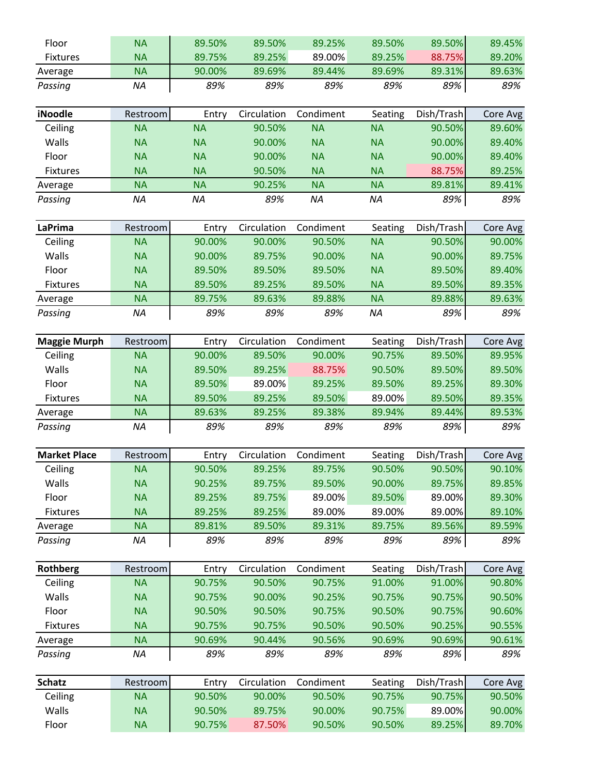| Floor               | <b>NA</b> | 89.50%    | 89.50%      | 89.25%    | 89.50%    | 89.50%     | 89.45%   |
|---------------------|-----------|-----------|-------------|-----------|-----------|------------|----------|
| <b>Fixtures</b>     | <b>NA</b> | 89.75%    | 89.25%      | 89.00%    | 89.25%    | 88.75%     | 89.20%   |
| Average             | <b>NA</b> | 90.00%    | 89.69%      | 89.44%    | 89.69%    | 89.31%     | 89.63%   |
| Passing             | <b>NA</b> | 89%       | 89%         | 89%       | 89%       | 89%        | 89%      |
|                     |           |           |             |           |           |            |          |
| iNoodle             | Restroom  | Entry     | Circulation | Condiment | Seating   | Dish/Trash | Core Avg |
| Ceiling             | <b>NA</b> | <b>NA</b> | 90.50%      | <b>NA</b> | <b>NA</b> | 90.50%     | 89.60%   |
| Walls               | <b>NA</b> | <b>NA</b> | 90.00%      | <b>NA</b> | <b>NA</b> | 90.00%     | 89.40%   |
| Floor               | <b>NA</b> | <b>NA</b> | 90.00%      | <b>NA</b> | <b>NA</b> | 90.00%     | 89.40%   |
| <b>Fixtures</b>     | <b>NA</b> | <b>NA</b> | 90.50%      | <b>NA</b> | <b>NA</b> | 88.75%     | 89.25%   |
| Average             | <b>NA</b> | <b>NA</b> | 90.25%      | <b>NA</b> | <b>NA</b> | 89.81%     | 89.41%   |
| Passing             | NA        | <b>NA</b> | 89%         | <b>NA</b> | <b>NA</b> | 89%        | 89%      |
|                     |           |           |             |           |           |            |          |
| <b>LaPrima</b>      | Restroom  | Entry     | Circulation | Condiment | Seating   | Dish/Trash | Core Avg |
| Ceiling             | <b>NA</b> | 90.00%    | 90.00%      | 90.50%    | <b>NA</b> | 90.50%     | 90.00%   |
| Walls               | <b>NA</b> | 90.00%    | 89.75%      | 90.00%    | <b>NA</b> | 90.00%     | 89.75%   |
| Floor               | <b>NA</b> | 89.50%    | 89.50%      | 89.50%    | <b>NA</b> | 89.50%     | 89.40%   |
| Fixtures            | <b>NA</b> | 89.50%    | 89.25%      | 89.50%    | <b>NA</b> | 89.50%     | 89.35%   |
| Average             | <b>NA</b> | 89.75%    | 89.63%      | 89.88%    | <b>NA</b> | 89.88%     | 89.63%   |
| Passing             | ΝA        | 89%       | 89%         | 89%       | <b>NA</b> | 89%        | 89%      |
|                     |           |           |             |           |           |            |          |
| <b>Maggie Murph</b> | Restroom  | Entry     | Circulation | Condiment | Seating   | Dish/Trash | Core Avg |
| Ceiling             | <b>NA</b> | 90.00%    | 89.50%      | 90.00%    | 90.75%    | 89.50%     | 89.95%   |
| Walls               | <b>NA</b> | 89.50%    | 89.25%      | 88.75%    | 90.50%    | 89.50%     | 89.50%   |
| Floor               | <b>NA</b> | 89.50%    | 89.00%      | 89.25%    | 89.50%    | 89.25%     | 89.30%   |
| <b>Fixtures</b>     | <b>NA</b> | 89.50%    | 89.25%      | 89.50%    | 89.00%    | 89.50%     | 89.35%   |
| Average             | <b>NA</b> | 89.63%    | 89.25%      | 89.38%    | 89.94%    | 89.44%     | 89.53%   |
| Passing             | <b>NA</b> | 89%       | 89%         | 89%       | 89%       | 89%        | 89%      |
| <b>Market Place</b> | Restroom  | Entry     | Circulation | Condiment | Seating   | Dish/Trash | Core Avg |
| Ceiling             | <b>NA</b> | 90.50%    | 89.25%      | 89.75%    | 90.50%    | 90.50%     | 90.10%   |
| Walls               | <b>NA</b> | 90.25%    | 89.75%      | 89.50%    | 90.00%    | 89.75%     | 89.85%   |
| Floor               | <b>NA</b> | 89.25%    | 89.75%      | 89.00%    | 89.50%    | 89.00%     | 89.30%   |
| <b>Fixtures</b>     | <b>NA</b> | 89.25%    | 89.25%      | 89.00%    | 89.00%    | 89.00%     | 89.10%   |
| Average             | <b>NA</b> | 89.81%    | 89.50%      | 89.31%    | 89.75%    | 89.56%     | 89.59%   |
| Passing             | ΝA        | 89%       | 89%         | 89%       | 89%       | 89%        | 89%      |
|                     |           |           |             |           |           |            |          |
| <b>Rothberg</b>     | Restroom  | Entry     | Circulation | Condiment | Seating   | Dish/Trash | Core Avg |
| Ceiling             | <b>NA</b> | 90.75%    | 90.50%      | 90.75%    | 91.00%    | 91.00%     | 90.80%   |
| Walls               | <b>NA</b> | 90.75%    | 90.00%      | 90.25%    | 90.75%    | 90.75%     | 90.50%   |
| Floor               | <b>NA</b> | 90.50%    | 90.50%      | 90.75%    | 90.50%    | 90.75%     | 90.60%   |
| <b>Fixtures</b>     | <b>NA</b> | 90.75%    | 90.75%      | 90.50%    | 90.50%    | 90.25%     | 90.55%   |
| Average             | <b>NA</b> | 90.69%    | 90.44%      | 90.56%    | 90.69%    | 90.69%     | 90.61%   |
| Passing             | <b>NA</b> | 89%       | 89%         | 89%       | 89%       | 89%        | 89%      |
|                     |           |           |             |           |           |            |          |
| <b>Schatz</b>       | Restroom  | Entry     | Circulation | Condiment | Seating   | Dish/Trash | Core Avg |
| Ceiling             | <b>NA</b> | 90.50%    | 90.00%      | 90.50%    | 90.75%    | 90.75%     | 90.50%   |
| Walls               | <b>NA</b> | 90.50%    | 89.75%      | 90.00%    | 90.75%    | 89.00%     | 90.00%   |
| Floor               | <b>NA</b> | 90.75%    | 87.50%      | 90.50%    | 90.50%    | 89.25%     | 89.70%   |